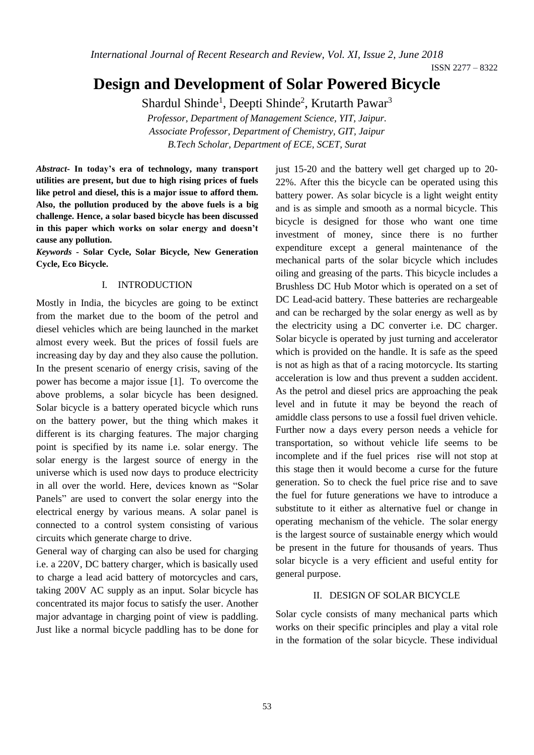*International Journal of Recent Research and Review, Vol. XI, Issue 2, June 2018*

ISSN 2277 – 8322

# **Design and Development of Solar Powered Bicycle**

Shardul Shinde<sup>1</sup>, Deepti Shinde<sup>2</sup>, Krutarth Pawar<sup>3</sup>

*Professor, Department of Management Science, YIT, Jaipur. Associate Professor, Department of Chemistry, GIT, Jaipur B.Tech Scholar, Department of ECE, SCET, Surat*

*Abstract***- In today's era of technology, many transport utilities are present, but due to high rising prices of fuels like petrol and diesel, this is a major issue to afford them. Also, the pollution produced by the above fuels is a big challenge. Hence, a solar based bicycle has been discussed in this paper which works on solar energy and doesn't cause any pollution.**

*Keywords* **- Solar Cycle, Solar Bicycle, New Generation Cycle, Eco Bicycle.** 

#### I. INTRODUCTION

Mostly in India, the bicycles are going to be extinct from the market due to the boom of the petrol and diesel vehicles which are being launched in the market almost every week. But the prices of fossil fuels are increasing day by day and they also cause the pollution. In the present scenario of energy crisis, saving of the power has become a major issue [1]. To overcome the above problems, a solar bicycle has been designed. Solar bicycle is a battery operated bicycle which runs on the battery power, but the thing which makes it different is its charging features. The major charging point is specified by its name i.e. solar energy. The solar energy is the largest source of energy in the universe which is used now days to produce electricity in all over the world. Here, devices known as "Solar Panels" are used to convert the solar energy into the electrical energy by various means. A solar panel is connected to a control system consisting of various circuits which generate charge to drive.

General way of charging can also be used for charging i.e. a 220V, DC battery charger, which is basically used to charge a lead acid battery of motorcycles and cars, taking 200V AC supply as an input. Solar bicycle has concentrated its major focus to satisfy the user. Another major advantage in charging point of view is paddling. Just like a normal bicycle paddling has to be done for

just 15-20 and the battery well get charged up to 20- 22%. After this the bicycle can be operated using this battery power. As solar bicycle is a light weight entity and is as simple and smooth as a normal bicycle. This bicycle is designed for those who want one time investment of money, since there is no further expenditure except a general maintenance of the mechanical parts of the solar bicycle which includes oiling and greasing of the parts. This bicycle includes a Brushless DC Hub Motor which is operated on a set of DC Lead-acid battery. These batteries are rechargeable and can be recharged by the solar energy as well as by the electricity using a DC converter i.e. DC charger. Solar bicycle is operated by just turning and accelerator which is provided on the handle. It is safe as the speed is not as high as that of a racing motorcycle. Its starting acceleration is low and thus prevent a sudden accident. As the petrol and diesel prics are approaching the peak level and in futute it may be beyond the reach of amiddle class persons to use a fossil fuel driven vehicle. Further now a days every person needs a vehicle for transportation, so without vehicle life seems to be incomplete and if the fuel prices rise will not stop at this stage then it would become a curse for the future generation. So to check the fuel price rise and to save the fuel for future generations we have to introduce a substitute to it either as alternative fuel or change in operating mechanism of the vehicle. The solar energy is the largest source of sustainable energy which would be present in the future for thousands of years. Thus solar bicycle is a very efficient and useful entity for general purpose.

#### II. DESIGN OF SOLAR BICYCLE

Solar cycle consists of many mechanical parts which works on their specific principles and play a vital role in the formation of the solar bicycle. These individual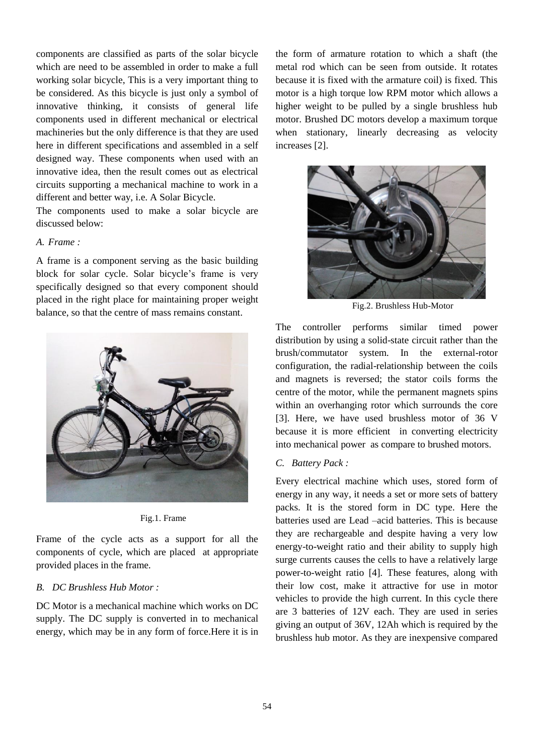components are classified as parts of the solar bicycle which are need to be assembled in order to make a full working solar bicycle, This is a very important thing to be considered. As this bicycle is just only a symbol of innovative thinking, it consists of general life components used in different mechanical or electrical machineries but the only difference is that they are used here in different specifications and assembled in a self designed way. These components when used with an innovative idea, then the result comes out as electrical circuits supporting a mechanical machine to work in a different and better way, i.e. A Solar Bicycle.

The components used to make a solar bicycle are discussed below:

# *A. Frame :*

A frame is a component serving as the basic building block for solar cycle. Solar bicycle's frame is very specifically designed so that every component should placed in the right place for maintaining proper weight balance, so that the centre of mass remains constant.





Frame of the cycle acts as a support for all the components of cycle, which are placed at appropriate provided places in the frame.

# *B. DC Brushless Hub Motor :*

DC Motor is a mechanical machine which works on DC supply. The DC supply is converted in to mechanical energy, which may be in any form of force.Here it is in the form of armature rotation to which a shaft (the metal rod which can be seen from outside. It rotates because it is fixed with the armature coil) is fixed. This motor is a high torque low RPM motor which allows a higher weight to be pulled by a single brushless hub motor. Brushed DC motors develop a maximum torque when stationary, linearly decreasing as velocity increases [2].



Fig.2. Brushless Hub-Motor

The controller performs similar timed power distribution by using a solid-state circuit rather than the brush/commutator system. In the external-rotor configuration, the radial-relationship between the coils and magnets is reversed; the stator coils forms the centre of the motor, while the permanent magnets spins within an overhanging rotor which surrounds the core [3]. Here, we have used brushless motor of 36 V because it is more efficient in converting electricity into mechanical power as compare to brushed motors.

## *C. Battery Pack :*

Every electrical machine which uses, stored form of energy in any way, it needs a set or more sets of battery packs. It is the stored form in DC type. Here the batteries used are Lead –acid batteries. This is because they are rechargeable and despite having a very low energy-to-weight ratio and their ability to supply high surge currents causes the cells to have a relatively large power-to-weight ratio [4]. These features, along with their low cost, make it attractive for use in motor vehicles to provide the high current. In this cycle there are 3 batteries of 12V each. They are used in series giving an output of 36V, 12Ah which is required by the brushless hub motor. As they are inexpensive compared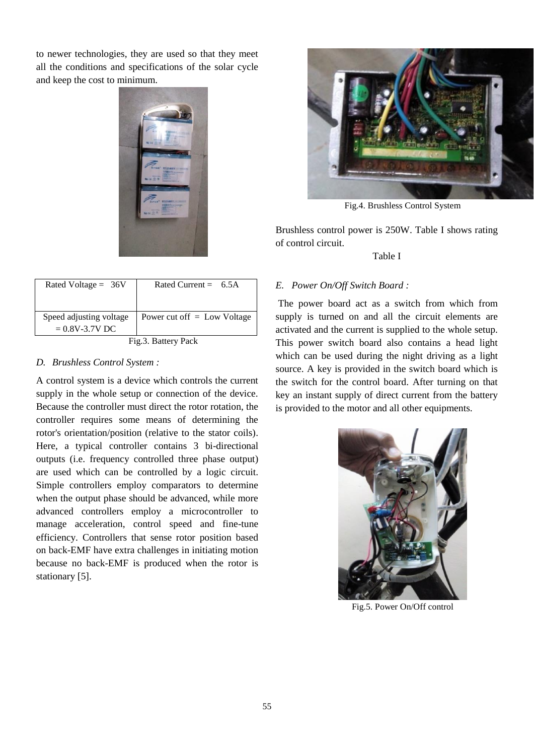to newer technologies, they are used so that they meet all the conditions and specifications of the solar cycle and keep the cost to minimum.



| Rated Voltage = $36V$                         | Rated Current = $6.5A$        |
|-----------------------------------------------|-------------------------------|
| Speed adjusting voltage<br>$= 0.8V - 3.7V$ DC | Power cut off $=$ Low Voltage |
| Fig.3. Battery Pack                           |                               |

## *D. Brushless Control System :*

A control system is a device which controls the current supply in the whole setup or connection of the device. Because the controller must direct the rotor rotation, the controller requires some means of determining the rotor's orientation/position (relative to the stator coils). Here, a typical controller contains 3 bi-directional outputs (i.e. frequency controlled three phase output) are used which can be controlled by a logic circuit. Simple controllers employ comparators to determine when the output phase should be advanced, while more advanced controllers employ a microcontroller to manage acceleration, control speed and fine-tune efficiency. Controllers that sense rotor position based on back-EMF have extra challenges in initiating motion because no back-EMF is produced when the rotor is stationary [5].



Fig.4. Brushless Control System

Brushless control power is 250W. Table I shows rating of control circuit.

#### Table I

# *E. Power On/Off Switch Board :*

The power board act as a switch from which from supply is turned on and all the circuit elements are activated and the current is supplied to the whole setup. This power switch board also contains a head light which can be used during the night driving as a light source. A key is provided in the switch board which is the switch for the control board. After turning on that key an instant supply of direct current from the battery is provided to the motor and all other equipments.



Fig.5. Power On/Off control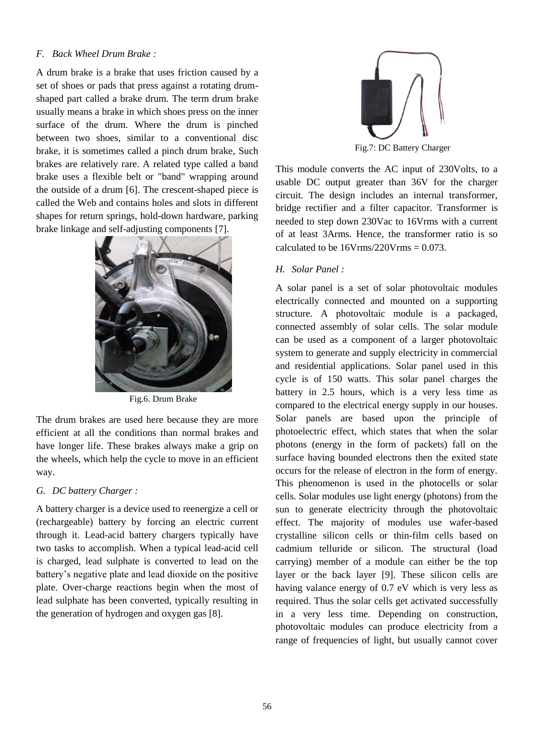## *F. Back Wheel Drum Brake :*

A drum brake is a brake that uses friction caused by a set of shoes or pads that press against a rotating drumshaped part called a brake drum. The term drum brake usually means a brake in which shoes press on the inner surface of the drum. Where the drum is pinched between two shoes, similar to a conventional disc brake, it is sometimes called a pinch drum brake, Such brakes are relatively rare. A related type called a band brake uses a flexible belt or "band" wrapping around the outside of a drum [6]. The crescent-shaped piece is called the Web and contains holes and slots in different shapes for return springs, hold-down hardware, parking brake linkage and self-adjusting components [7].



Fig.6. Drum Brake

The drum brakes are used here because they are more efficient at all the conditions than normal brakes and have longer life. These brakes always make a grip on the wheels, which help the cycle to move in an efficient way.

## *G. DC battery Charger :*

A battery charger is a device used to reenergize a cell or (rechargeable) battery by forcing an electric current through it. Lead-acid battery chargers typically have two tasks to accomplish. When a typical lead-acid cell is charged, lead sulphate is converted to lead on the battery's negative plate and lead dioxide on the positive plate. Over-charge reactions begin when the most of lead sulphate has been converted, typically resulting in the generation of hydrogen and oxygen gas [8].



This module converts the AC input of 230Volts, to a

usable DC output greater than 36V for the charger circuit. The design includes an internal transformer, bridge rectifier and a filter capacitor. Transformer is needed to step down 230Vac to 16Vrms with a current of at least 3Arms. Hence, the transformer ratio is so calculated to be  $16V$ rms/220V rms  $= 0.073$ .

# *H. Solar Panel :*

A solar panel is a set of solar photovoltaic modules electrically connected and mounted on a supporting structure. A photovoltaic module is a packaged, connected assembly of solar cells. The solar module can be used as a component of a larger photovoltaic system to generate and supply electricity in commercial and residential applications. Solar panel used in this cycle is of 150 watts. This solar panel charges the battery in 2.5 hours, which is a very less time as compared to the electrical energy supply in our houses. Solar panels are based upon the principle of photoelectric effect, which states that when the solar photons (energy in the form of packets) fall on the surface having bounded electrons then the exited state occurs for the release of electron in the form of energy. This phenomenon is used in the photocells or solar cells. Solar modules use light energy (photons) from the sun to generate electricity through the photovoltaic effect. The majority of modules use wafer-based crystalline silicon cells or thin-film cells based on cadmium telluride or silicon. The structural (load carrying) member of a module can either be the top layer or the back layer [9]. These silicon cells are having valance energy of 0.7 eV which is very less as required. Thus the solar cells get activated successfully in a very less time. Depending on construction, photovoltaic modules can produce electricity from a range of frequencies of light, but usually cannot cover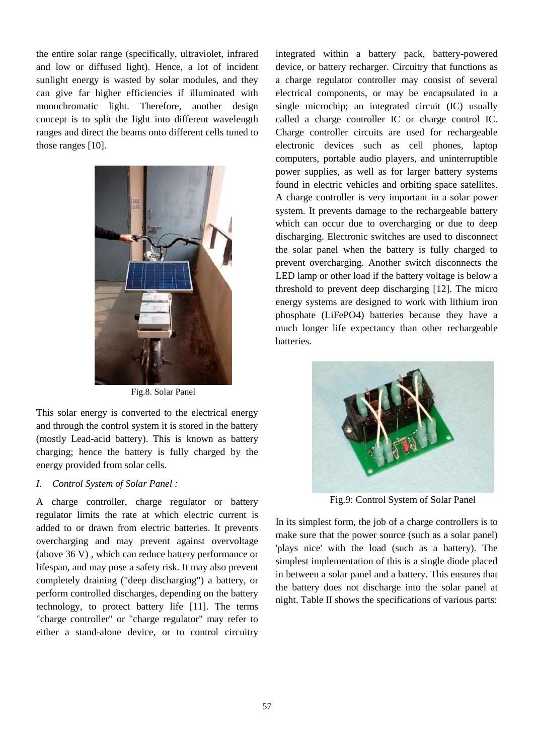the entire solar range (specifically, ultraviolet, infrared and low or diffused light). Hence, a lot of incident sunlight energy is wasted by solar modules, and they can give far higher efficiencies if illuminated with monochromatic light. Therefore, another design concept is to split the light into different wavelength ranges and direct the beams onto different cells tuned to those ranges [10].



Fig.8. Solar Panel

This solar energy is converted to the electrical energy and through the control system it is stored in the battery (mostly Lead-acid battery). This is known as battery charging; hence the battery is fully charged by the energy provided from solar cells.

## *I. Control System of Solar Panel :*

A charge controller, charge regulator or battery regulator limits the rate at which electric current is added to or drawn from electric batteries. It prevents overcharging and may prevent against overvoltage (above 36 V) , which can reduce battery performance or lifespan, and may pose a safety risk. It may also prevent completely draining ("deep discharging") a battery, or perform controlled discharges, depending on the battery technology, to protect battery life [11]. The terms "charge controller" or "charge regulator" may refer to either a stand-alone device, or to control circuitry

integrated within a battery pack, battery-powered device, or battery recharger. Circuitry that functions as a charge regulator controller may consist of several electrical components, or may be encapsulated in a single microchip; an integrated circuit (IC) usually called a charge controller IC or charge control IC. Charge controller circuits are used for rechargeable electronic devices such as cell phones, laptop computers, portable audio players, and uninterruptible power supplies, as well as for larger battery systems found in electric vehicles and orbiting space satellites. A charge controller is very important in a solar power system. It prevents damage to the rechargeable battery which can occur due to overcharging or due to deep discharging. Electronic switches are used to disconnect the solar panel when the battery is fully charged to prevent overcharging. Another switch disconnects the LED lamp or other load if the battery voltage is below a threshold to prevent deep discharging [12]. The micro energy systems are designed to work with lithium iron phosphate (LiFePO4) batteries because they have a much longer life expectancy than other rechargeable batteries.



Fig.9: Control System of Solar Panel

In its simplest form, the job of a charge controllers is to make sure that the power source (such as a solar panel) 'plays nice' with the load (such as a battery). The simplest implementation of this is a single diode placed in between a solar panel and a battery. This ensures that the battery does not discharge into the solar panel at night. Table II shows the specifications of various parts: